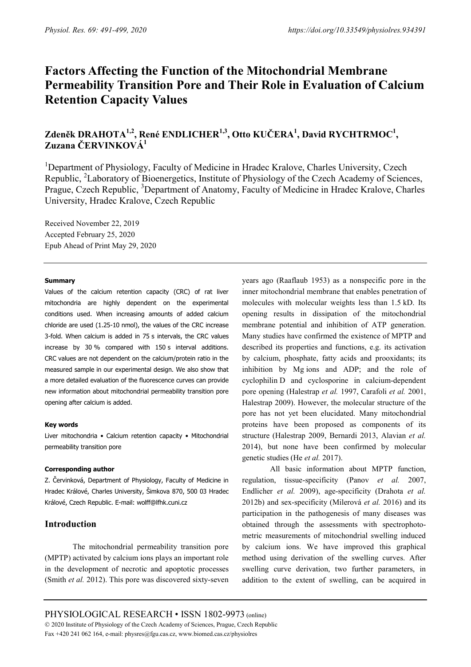# **Factors Affecting the Function of the Mitochondrial Membrane Permeability Transition Pore and Their Role in Evaluation of Calcium Retention Capacity Values**

# **Zdeněk DRAHOTA1,2, René ENDLICHER1,3, Otto KUČERA<sup>1</sup> , David RYCHTRMOC1 , Zuzana ČERVINKOVÁ<sup>1</sup>**

<sup>1</sup>Department of Physiology, Faculty of Medicine in Hradec Kralove, Charles University, Czech Republic, <sup>2</sup>Laboratory of Bioenergetics, Institute of Physiology of the Czech Academy of Sciences, Prague, Czech Republic, <sup>3</sup>Department of Anatomy, Faculty of Medicine in Hradec Kralove, Charles University, Hradec Kralove, Czech Republic

Received November 22, 2019 Accepted February 25, 2020 Epub Ahead of Print May 29, 2020

#### **Summary**

Values of the calcium retention capacity (CRC) of rat liver mitochondria are highly dependent on the experimental conditions used. When increasing amounts of added calcium chloride are used (1.25-10 nmol), the values of the CRC increase 3-fold. When calcium is added in 75 s intervals, the CRC values increase by 30 % compared with 150 s interval additions. CRC values are not dependent on the calcium/protein ratio in the measured sample in our experimental design. We also show that a more detailed evaluation of the fluorescence curves can provide new information about mitochondrial permeability transition pore opening after calcium is added.

# **Key words**

Liver mitochondria • Calcium retention capacity • Mitochondrial permeability transition pore

# **Corresponding author**

Z. Červinková, Department of Physiology, Faculty of Medicine in Hradec Králové, Charles University, Šimkova 870, 500 03 Hradec Králové, Czech Republic. E-mail: wolff@lfhk.cuni.cz

# **Introduction**

The mitochondrial permeability transition pore (MPTP) activated by calcium ions plays an important role in the development of necrotic and apoptotic processes (Smith *et al.* 2012). This pore was discovered sixty-seven years ago (Raaflaub 1953) as a nonspecific pore in the inner mitochondrial membrane that enables penetration of molecules with molecular weights less than 1.5 kD. Its opening results in dissipation of the mitochondrial membrane potential and inhibition of ATP generation. Many studies have confirmed the existence of MPTP and described its properties and functions, e.g. its activation by calcium, phosphate, fatty acids and prooxidants; its inhibition by Mg ions and ADP; and the role of cyclophilin D and cyclosporine in calcium-dependent pore opening (Halestrap *et al.* 1997, Carafoli *et al.* 2001, Halestrap 2009). However, the molecular structure of the pore has not yet been elucidated. Many mitochondrial proteins have been proposed as components of its structure (Halestrap 2009, Bernardi 2013, Alavian *et al.* 2014), but none have been confirmed by molecular genetic studies (He *et al.* 2017).

All basic information about MPTP function, regulation, tissue-specificity (Panov *et al.* 2007, Endlicher *et al.* 2009), age-specificity (Drahota *et al.* 2012b) and sex-specificity (Milerová *et al.* 2016) and its participation in the pathogenesis of many diseases was obtained through the assessments with spectrophotometric measurements of mitochondrial swelling induced by calcium ions. We have improved this graphical method using derivation of the swelling curves. After swelling curve derivation, two further parameters, in addition to the extent of swelling, can be acquired in

PHYSIOLOGICAL RESEARCH • ISSN 1802-9973 (online) 2020 Institute of Physiology of the Czech Academy of Sciences, Prague, Czech Republic Fax +420 241 062 164, e-mail: physres@fgu.cas.cz, www.biomed.cas.cz/physiolres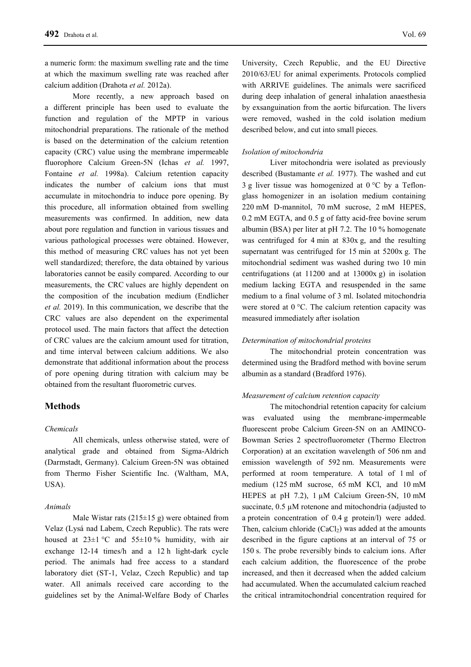a numeric form: the maximum swelling rate and the time at which the maximum swelling rate was reached after calcium addition (Drahota *et al.* 2012a).

More recently, a new approach based on a different principle has been used to evaluate the function and regulation of the MPTP in various mitochondrial preparations. The rationale of the method is based on the determination of the calcium retention capacity (CRC) value using the membrane impermeable fluorophore Calcium Green-5N (Ichas *et al.* 1997, Fontaine *et al.* 1998a). Calcium retention capacity indicates the number of calcium ions that must accumulate in mitochondria to induce pore opening. By this procedure, all information obtained from swelling measurements was confirmed. In addition, new data about pore regulation and function in various tissues and various pathological processes were obtained. However, this method of measuring CRC values has not yet been well standardized; therefore, the data obtained by various laboratories cannot be easily compared. According to our measurements, the CRC values are highly dependent on the composition of the incubation medium (Endlicher *et al.* 2019). In this communication, we describe that the CRC values are also dependent on the experimental protocol used. The main factors that affect the detection of CRC values are the calcium amount used for titration, and time interval between calcium additions. We also demonstrate that additional information about the process of pore opening during titration with calcium may be obtained from the resultant fluorometric curves.

# **Methods**

#### *Chemicals*

All chemicals, unless otherwise stated, were of analytical grade and obtained from Sigma-Aldrich (Darmstadt, Germany). Calcium Green-5N was obtained from Thermo Fisher Scientific Inc. (Waltham, MA, USA).

#### *Animals*

Male Wistar rats  $(215\pm 15 \text{ g})$  were obtained from Velaz (Lysá nad Labem, Czech Republic). The rats were housed at  $23\pm1$  °C and  $55\pm10$  % humidity, with air exchange 12-14 times/h and a 12 h light-dark cycle period. The animals had free access to a standard laboratory diet (ST-1, Velaz, Czech Republic) and tap water. All animals received care according to the guidelines set by the Animal-Welfare Body of Charles University, Czech Republic, and the EU Directive 2010/63/EU for animal experiments. Protocols complied with ARRIVE guidelines. The animals were sacrificed during deep inhalation of general inhalation anaesthesia by exsanguination from the aortic bifurcation. The livers were removed, washed in the cold isolation medium described below, and cut into small pieces.

# *Isolation of mitochondria*

Liver mitochondria were isolated as previously described (Bustamante *et al.* 1977). The washed and cut 3 g liver tissue was homogenized at  $0^{\circ}$ C by a Teflonglass homogenizer in an isolation medium containing 220 mM D-mannitol, 70 mM sucrose, 2 mM HEPES, 0.2 mM EGTA, and 0.5 g of fatty acid-free bovine serum albumin (BSA) per liter at pH 7.2. The 10 % homogenate was centrifuged for 4 min at 830x g, and the resulting supernatant was centrifuged for 15 min at 5200x g. The mitochondrial sediment was washed during two 10 min centrifugations (at 11200 and at 13000x g) in isolation medium lacking EGTA and resuspended in the same medium to a final volume of 3 ml. Isolated mitochondria were stored at 0 °C. The calcium retention capacity was measured immediately after isolation

#### *Determination of mitochondrial proteins*

The mitochondrial protein concentration was determined using the Bradford method with bovine serum albumin as a standard (Bradford 1976).

#### *Measurement of calcium retention capacity*

The mitochondrial retention capacity for calcium was evaluated using the membrane-impermeable fluorescent probe Calcium Green-5N on an AMINCO-Bowman Series 2 spectrofluorometer (Thermo Electron Corporation) at an excitation wavelength of 506 nm and emission wavelength of 592 nm. Measurements were performed at room temperature. A total of 1 ml of medium (125 mM sucrose, 65 mM KCl, and 10 mM HEPES at pH 7.2),  $1 \mu M$  Calcium Green-5N, 10 mM succinate,  $0.5 \mu M$  rotenone and mitochondria (adjusted to a protein concentration of 0.4 g protein/l) were added. Then, calcium chloride  $(CaCl<sub>2</sub>)$  was added at the amounts described in the figure captions at an interval of 75 or 150 s. The probe reversibly binds to calcium ions. After each calcium addition, the fluorescence of the probe increased, and then it decreased when the added calcium had accumulated. When the accumulated calcium reached the critical intramitochondrial concentration required for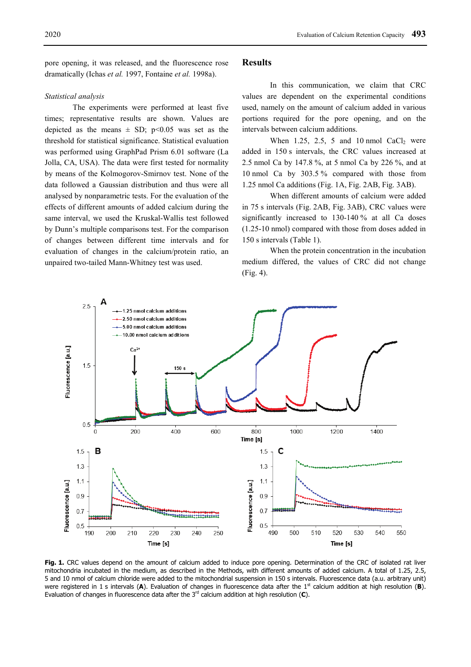pore opening, it was released, and the fluorescence rose dramatically (Ichas *et al.* 1997, Fontaine *et al.* 1998a).

#### *Statistical analysis*

The experiments were performed at least five times; representative results are shown. Values are depicted as the means  $\pm$  SD; p<0.05 was set as the threshold for statistical significance. Statistical evaluation was performed using GraphPad Prism 6.01 software (La Jolla, CA, USA). The data were first tested for normality by means of the Kolmogorov-Smirnov test. None of the data followed a Gaussian distribution and thus were all analysed by nonparametric tests. For the evaluation of the effects of different amounts of added calcium during the same interval, we used the Kruskal-Wallis test followed by Dunn's multiple comparisons test. For the comparison of changes between different time intervals and for evaluation of changes in the calcium/protein ratio, an unpaired two-tailed Mann-Whitney test was used.

# **Results**

In this communication, we claim that CRC values are dependent on the experimental conditions used, namely on the amount of calcium added in various portions required for the pore opening, and on the intervals between calcium additions.

When 1.25, 2.5, 5 and 10 nmol  $CaCl<sub>2</sub>$  were added in 150 s intervals, the CRC values increased at 2.5 nmol Ca by 147.8 %, at 5 nmol Ca by 226 %, and at 10 nmol Ca by 303.5 % compared with those from 1.25 nmol Ca additions (Fig. 1A, Fig. 2AB, Fig. 3AB).

When different amounts of calcium were added in 75 s intervals (Fig. 2AB, Fig. 3AB), CRC values were significantly increased to 130-140 % at all Ca doses (1.25-10 nmol) compared with those from doses added in 150 s intervals (Table 1).

When the protein concentration in the incubation medium differed, the values of CRC did not change (Fig. 4).



**Fig. 1.** CRC values depend on the amount of calcium added to induce pore opening. Determination of the CRC of isolated rat liver mitochondria incubated in the medium, as described in the Methods, with different amounts of added calcium. A total of 1.25, 2.5, 5 and 10 nmol of calcium chloride were added to the mitochondrial suspension in 150 s intervals. Fluorescence data (a.u. arbitrary unit) were registered in 1 s intervals (A). Evaluation of changes in fluorescence data after the 1<sup>st</sup> calcium addition at high resolution (B). Evaluation of changes in fluorescence data after the 3<sup>rd</sup> calcium addition at high resolution (C).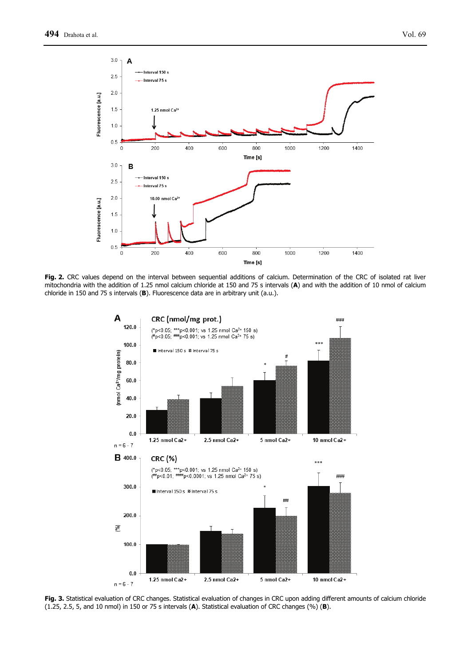

**Fig. 2.** CRC values depend on the interval between sequential additions of calcium. Determination of the CRC of isolated rat liver mitochondria with the addition of 1.25 nmol calcium chloride at 150 and 75 s intervals (**A**) and with the addition of 10 nmol of calcium chloride in 150 and 75 s intervals (**B**). Fluorescence data are in arbitrary unit (a.u.).



**Fig. 3.** Statistical evaluation of CRC changes. Statistical evaluation of changes in CRC upon adding different amounts of calcium chloride (1.25, 2.5, 5, and 10 nmol) in 150 or 75 s intervals (**A**). Statistical evaluation of CRC changes (%) (**B**).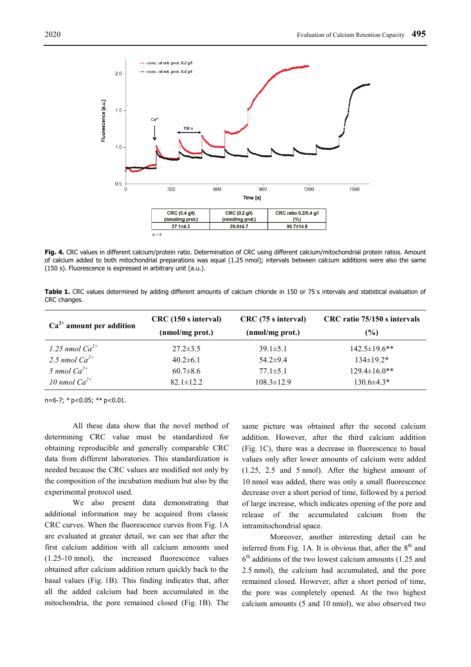

**Fig. 4.** CRC values in different calcium/protein ratio. Determination of CRC using different calcium/mitochondrial protein ratios. Amount of calcium added to both mitochondrial preparations was equal (1.25 nmol); intervals between calcium additions were also the same (150 s). Fluorescence is expressed in arbitrary unit (a.u.).

**Table 1.** CRC values determined by adding different amounts of calcium chloride in 150 or 75 s intervals and statistical evaluation of CRC changes.

| $Ca2+$ amount per addition | CRC (150 s interval) | CRC (75 s interval) | CRC ratio 75/150 s intervals |
|----------------------------|----------------------|---------------------|------------------------------|
|                            | (nmol/mg prot.)      | (nmol/mg prot.)     | $($ %)                       |
| 1.25 nmol $Ca^{2+}$        | $27.2 \pm 3.5$       | $39.1 \pm 5.1$      | $142.5 \pm 19.6$ **          |
| 2.5 nmol $Ca^{2+}$         | $40.2 \pm 6.1$       | $54.2 \pm 9.4$      | $134\pm19.2*$                |
| 5 nmol $Ca^{2+}$           | $60.7 \pm 8.6$       | $77.1 \pm 5.1$      | $129.4 \pm 16.0$ **          |
| 10 nmol $Ca^{2+}$          | $82.1 \pm 12.2$      | $108.3 \pm 12.9$    | $130.6\pm4.3*$               |

 $n=6-7$ ; \*  $p<0.05$ ; \*\*  $p<0.01$ .

All these data show that the novel method of determining CRC value must be standardized for obtaining reproducible and generally comparable CRC data from different laboratories. This standardization is needed because the CRC values are modified not only by the composition of the incubation medium but also by the experimental protocol used.

We also present data demonstrating that additional information may be acquired from classic CRC curves. When the fluorescence curves from Fig. 1A are evaluated at greater detail, we can see that after the first calcium addition with all calcium amounts used (1.25-10 nmol), the increased fluorescence values obtained after calcium addition return quickly back to the basal values (Fig. 1B). This finding indicates that, after all the added calcium had been accumulated in the mitochondria, the pore remained closed (Fig. 1B). The

same picture was obtained after the second calcium addition. However, after the third calcium addition (Fig. 1C), there was a decrease in fluorescence to basal values only after lower amounts of calcium were added (1.25, 2.5 and 5 nmol). After the highest amount of 10 nmol was added, there was only a small fluorescence decrease over a short period of time, followed by a period of large increase, which indicates opening of the pore and release of the accumulated calcium from the intramitochondrial space.

Moreover, another interesting detail can be inferred from Fig. 1A. It is obvious that, after the  $8<sup>th</sup>$  and  $6<sup>th</sup>$  additions of the two lowest calcium amounts (1.25 and 2.5 nmol), the calcium had accumulated, and the pore remained closed. However, after a short period of time, the pore was completely opened. At the two highest calcium amounts (5 and 10 nmol), we also observed two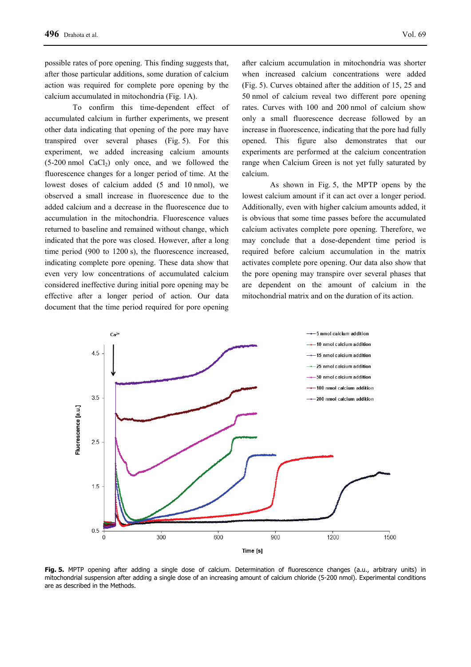possible rates of pore opening. This finding suggests that, after those particular additions, some duration of calcium action was required for complete pore opening by the calcium accumulated in mitochondria (Fig. 1A).

To confirm this time-dependent effect of accumulated calcium in further experiments, we present other data indicating that opening of the pore may have transpired over several phases (Fig. 5). For this experiment, we added increasing calcium amounts  $(5-200 \text{ nmol } \text{CaCl}_2)$  only once, and we followed the fluorescence changes for a longer period of time. At the lowest doses of calcium added (5 and 10 nmol), we observed a small increase in fluorescence due to the added calcium and a decrease in the fluorescence due to accumulation in the mitochondria. Fluorescence values returned to baseline and remained without change, which indicated that the pore was closed. However, after a long time period (900 to 1200 s), the fluorescence increased, indicating complete pore opening. These data show that even very low concentrations of accumulated calcium considered ineffective during initial pore opening may be effective after a longer period of action. Our data document that the time period required for pore opening

after calcium accumulation in mitochondria was shorter when increased calcium concentrations were added (Fig. 5). Curves obtained after the addition of 15, 25 and 50 nmol of calcium reveal two different pore opening rates. Curves with 100 and 200 nmol of calcium show only a small fluorescence decrease followed by an increase in fluorescence, indicating that the pore had fully opened. This figure also demonstrates that our experiments are performed at the calcium concentration range when Calcium Green is not yet fully saturated by calcium.

As shown in Fig. 5, the MPTP opens by the lowest calcium amount if it can act over a longer period. Additionally, even with higher calcium amounts added, it is obvious that some time passes before the accumulated calcium activates complete pore opening. Therefore, we may conclude that a dose-dependent time period is required before calcium accumulation in the matrix activates complete pore opening. Our data also show that the pore opening may transpire over several phases that are dependent on the amount of calcium in the mitochondrial matrix and on the duration of its action.



**Fig. 5.** MPTP opening after adding a single dose of calcium. Determination of fluorescence changes (a.u., arbitrary units) in mitochondrial suspension after adding a single dose of an increasing amount of calcium chloride (5-200 nmol). Experimental conditions are as described in the Methods.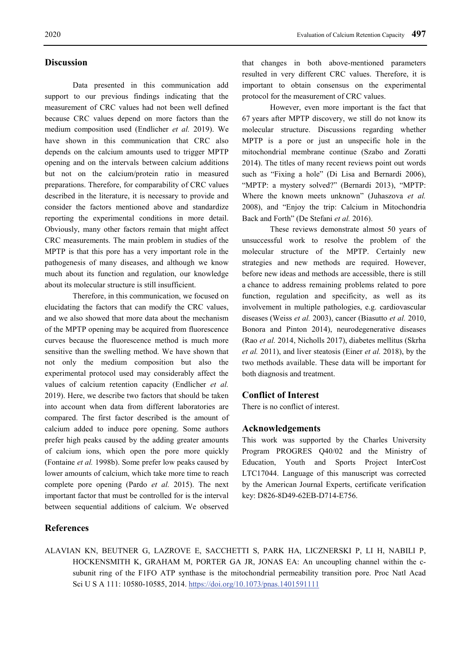### **Discussion**

Data presented in this communication add support to our previous findings indicating that the measurement of CRC values had not been well defined because CRC values depend on more factors than the medium composition used (Endlicher *et al.* 2019). We have shown in this communication that CRC also depends on the calcium amounts used to trigger MPTP opening and on the intervals between calcium additions but not on the calcium/protein ratio in measured preparations. Therefore, for comparability of CRC values described in the literature, it is necessary to provide and consider the factors mentioned above and standardize reporting the experimental conditions in more detail. Obviously, many other factors remain that might affect CRC measurements. The main problem in studies of the MPTP is that this pore has a very important role in the pathogenesis of many diseases, and although we know much about its function and regulation, our knowledge about its molecular structure is still insufficient.

Therefore, in this communication, we focused on elucidating the factors that can modify the CRC values, and we also showed that more data about the mechanism of the MPTP opening may be acquired from fluorescence curves because the fluorescence method is much more sensitive than the swelling method. We have shown that not only the medium composition but also the experimental protocol used may considerably affect the values of calcium retention capacity (Endlicher *et al.* 2019). Here, we describe two factors that should be taken into account when data from different laboratories are compared. The first factor described is the amount of calcium added to induce pore opening. Some authors prefer high peaks caused by the adding greater amounts of calcium ions, which open the pore more quickly (Fontaine *et al.* 1998b). Some prefer low peaks caused by lower amounts of calcium, which take more time to reach complete pore opening (Pardo *et al.* 2015). The next important factor that must be controlled for is the interval between sequential additions of calcium. We observed

# **References**

that changes in both above-mentioned parameters resulted in very different CRC values. Therefore, it is important to obtain consensus on the experimental protocol for the measurement of CRC values.

However, even more important is the fact that 67 years after MPTP discovery, we still do not know its molecular structure. Discussions regarding whether MPTP is a pore or just an unspecific hole in the mitochondrial membrane continue (Szabo and Zoratti 2014). The titles of many recent reviews point out words such as "Fixing a hole" (Di Lisa and Bernardi 2006), "MPTP: a mystery solved?" (Bernardi 2013), "MPTP: Where the known meets unknown" (Juhaszova *et al.* 2008), and "Enjoy the trip: Calcium in Mitochondria Back and Forth" (De Stefani *et al.* 2016).

These reviews demonstrate almost 50 years of unsuccessful work to resolve the problem of the molecular structure of the MPTP. Certainly new strategies and new methods are required. However, before new ideas and methods are accessible, there is still a chance to address remaining problems related to pore function, regulation and specificity, as well as its involvement in multiple pathologies, e.g. cardiovascular diseases (Weiss *et al.* 2003), cancer (Biasutto *et al.* 2010, Bonora and Pinton 2014), neurodegenerative diseases (Rao *et al.* 2014, Nicholls 2017), diabetes mellitus (Skrha *et al.* 2011), and liver steatosis (Einer *et al.* 2018), by the two methods available. These data will be important for both diagnosis and treatment.

#### **Conflict of Interest**

There is no conflict of interest.

#### **Acknowledgements**

This work was supported by the Charles University Program PROGRES Q40/02 and the Ministry of Education, Youth and Sports Project InterCost LTC17044. Language of this manuscript was corrected by the American Journal Experts, certificate verification key: D826-8D49-62EB-D714-E756.

ALAVIAN KN, BEUTNER G, LAZROVE E, SACCHETTI S, PARK HA, LICZNERSKI P, LI H, NABILI P, HOCKENSMITH K, GRAHAM M, PORTER GA JR, JONAS EA: An uncoupling channel within the csubunit ring of the F1FO ATP synthase is the mitochondrial permeability transition pore. Proc Natl Acad Sci U S A 111: 10580-10585, 2014. https://doi.org/10.1073/pnas.1401591111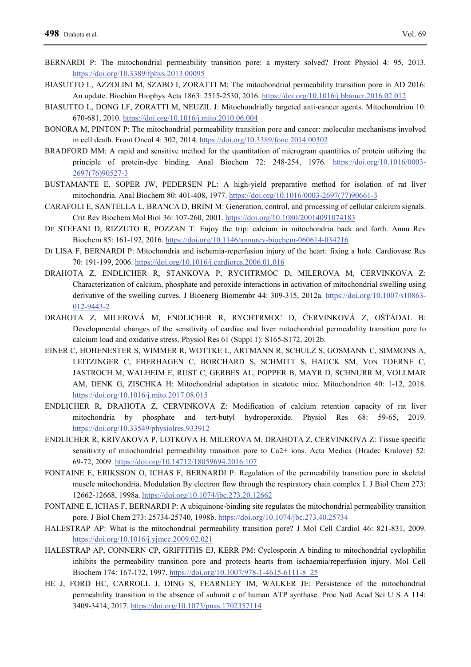- BERNARDI P: The mitochondrial permeability transition pore: a mystery solved? Front Physiol 4: 95, 2013. https://doi.org/10.3389/fphys.2013.00095
- BIASUTTO L, AZZOLINI M, SZABO I, ZORATTI M: The mitochondrial permeability transition pore in AD 2016: An update. Biochim Biophys Acta 1863: 2515-2530, 2016. https://doi.org/10.1016/j.bbamcr.2016.02.012
- BIASUTTO L, DONG LF, ZORATTI M, NEUZIL J: Mitochondrially targeted anti-cancer agents. Mitochondrion 10: 670-681, 2010. https://doi.org/10.1016/j.mito.2010.06.004
- BONORA M, PINTON P: The mitochondrial permeability transition pore and cancer: molecular mechanisms involved in cell death. Front Oncol 4: 302, 2014. https://doi.org/10.3389/fonc.2014.00302
- BRADFORD MM: A rapid and sensitive method for the quantitation of microgram quantities of protein utilizing the principle of protein-dye binding. Anal Biochem 72: 248-254, 1976. https://doi.org/10.1016/0003- 2697(76)90527-3
- BUSTAMANTE E, SOPER JW, PEDERSEN PL: A high-yield preparative method for isolation of rat liver mitochondria. Anal Biochem 80: 401-408, 1977. https://doi.org/10.1016/0003-2697(77)90661-3
- CARAFOLI E, SANTELLA L, BRANCA D, BRINI M: Generation, control, and processing of cellular calcium signals. Crit Rev Biochem Mol Biol 36: 107-260, 2001. https://doi.org/10.1080/20014091074183
- DE STEFANI D, RIZZUTO R, POZZAN T: Enjoy the trip: calcium in mitochondria back and forth. Annu Rev Biochem 85: 161-192, 2016. https://doi.org/10.1146/annurev-biochem-060614-034216
- DI LISA F, BERNARDI P: Mitochondria and ischemia-reperfusion injury of the heart: fixing a hole. Cardiovasc Res 70: 191-199, 2006. https://doi.org/10.1016/j.cardiores.2006.01.016
- DRAHOTA Z, ENDLICHER R, STANKOVA P, RYCHTRMOC D, MILEROVA M, CERVINKOVA Z: Characterization of calcium, phosphate and peroxide interactions in activation of mitochondrial swelling using derivative of the swelling curves. J Bioenerg Biomembr 44: 309-315, 2012a. https://doi.org/10.1007/s10863-012-9443-2
- DRAHOTA Z, MILEROVÁ M, ENDLICHER R, RYCHTRMOC D, ČERVINKOVÁ Z, OŠŤÁDAL B: Developmental changes of the sensitivity of cardiac and liver mitochondrial permeability transition pore to calcium load and oxidative stress. Physiol Res 61 (Suppl 1): S165-S172, 2012b.
- EINER C, HOHENESTER S, WIMMER R, WOTTKE L, ARTMANN R, SCHULZ S, GOSMANN C, SIMMONS A, LEITZINGER C, EBERHAGEN C, BORCHARD S, SCHMITT S, HAUCK SM, VON TOERNE C, JASTROCH M, WALHEIM E, RUST C, GERBES AL, POPPER B, MAYR D, SCHNURR M, VOLLMAR AM, DENK G, ZISCHKA H: Mitochondrial adaptation in steatotic mice. Mitochondrion 40: 1-12, 2018. https://doi.org/10.1016/j.mito.2017.08.015
- ENDLICHER R, DRAHOTA Z, CERVINKOVA Z: Modification of calcium retention capacity of rat liver mitochondria by phosphate and tert-butyl hydroperoxide. Physiol Res 68: 59-65, https://doi.org/10.33549/physiolres.933912
- ENDLICHER R, KRIVAKOVA P, LOTKOVA H, MILEROVA M, DRAHOTA Z, CERVINKOVA Z: Tissue specific sensitivity of mitochondrial permeability transition pore to Ca2+ ions. Acta Medica (Hradec Kralove) 52: 69-72, 2009. https://doi.org/10.14712/18059694.2016.107
- FONTAINE E, ERIKSSON O, ICHAS F, BERNARDI P: Regulation of the permeability transition pore in skeletal muscle mitochondria. Modulation By electron flow through the respiratory chain complex I. J Biol Chem 273: 12662-12668, 1998a. https://doi.org/10.1074/jbc.273.20.12662
- FONTAINE E, ICHAS F, BERNARDI P: A ubiquinone-binding site regulates the mitochondrial permeability transition pore. J Biol Chem 273: 25734-25740, 1998b. https://doi.org/10.1074/jbc.273.40.25734
- HALESTRAP AP: What is the mitochondrial permeability transition pore? J Mol Cell Cardiol 46: 821-831, 2009. https://doi.org/10.1016/j.yjmcc.2009.02.021
- HALESTRAP AP, CONNERN CP, GRIFFITHS EJ, KERR PM: Cyclosporin A binding to mitochondrial cyclophilin inhibits the permeability transition pore and protects hearts from ischaemia/reperfusion injury. Mol Cell Biochem 174: 167-172, 1997. https://doi.org/10.1007/978-1-4615-6111-8\_25
- HE J, FORD HC, CARROLL J, DING S, FEARNLEY IM, WALKER JE: Persistence of the mitochondrial permeability transition in the absence of subunit c of human ATP synthase. Proc Natl Acad Sci U S A 114: 3409-3414, 2017. https://doi.org/10.1073/pnas.1702357114